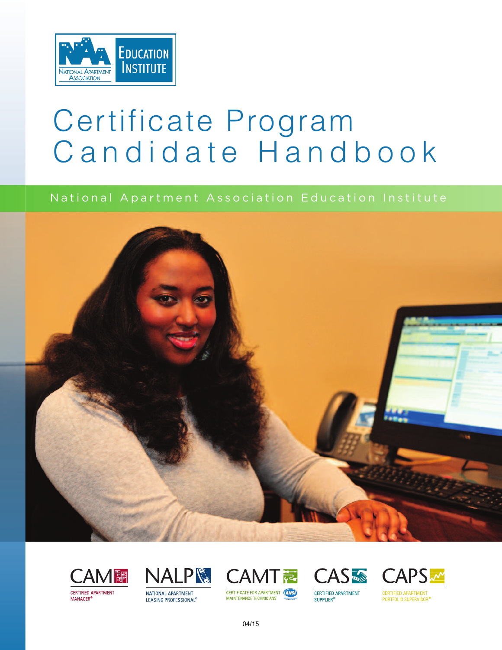

# Certificate Program Candidate Handbook

## National Apartment Association Education Institute













04/15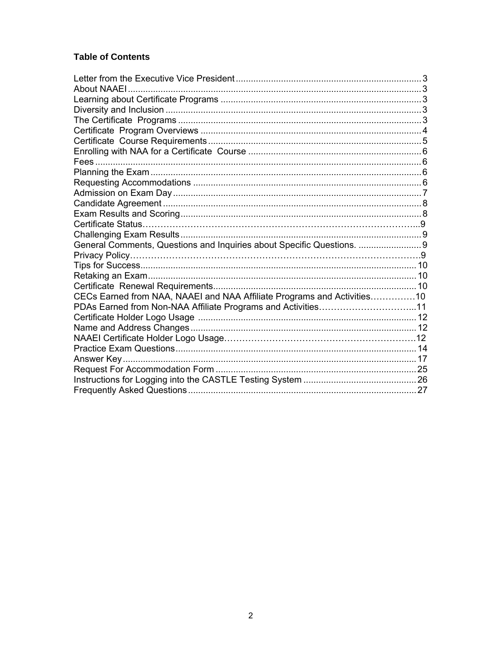## **Table of Contents**

| General Comments, Questions and Inquiries about Specific Questions.     |  |
|-------------------------------------------------------------------------|--|
|                                                                         |  |
|                                                                         |  |
|                                                                         |  |
|                                                                         |  |
| CECs Earned from NAA, NAAEI and NAA Affiliate Programs and Activities10 |  |
|                                                                         |  |
|                                                                         |  |
|                                                                         |  |
|                                                                         |  |
|                                                                         |  |
|                                                                         |  |
|                                                                         |  |
|                                                                         |  |
|                                                                         |  |
|                                                                         |  |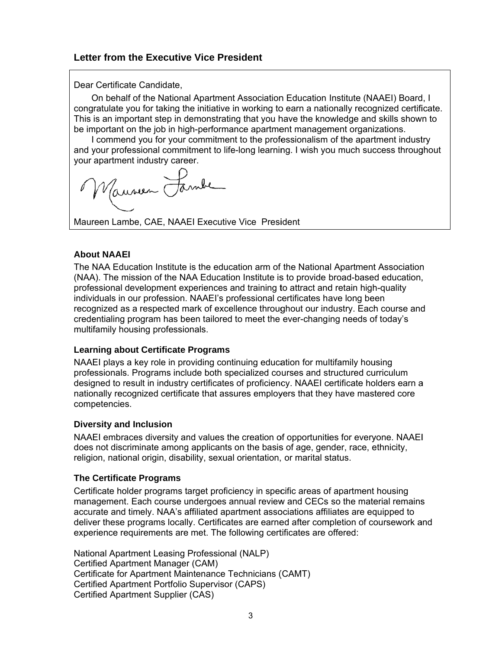#### **Letter from the Executive Vice President**

Dear Certificate C Candidate,

On behalf of the National Apartment Association Education Institute (NAAEI) Board, I congratulate you for taking the initiative in working to earn a nationally recognized certificate. This is an important step in demonstrating that you have the knowledge and skills shown to be important on the job in high-performance apartment management organizations.

I commend you for your commitment to the professionalism of the apartment industry and your professional commitment to life-long learning. I wish you much success throughout your apartment industry career.

Maureen Lambe, CAE, NAAEI Executive Vice President

#### **Abou ut NAAEI**

The NAA Education Institute is the education arm of the National Apartment Association (NAA). The mission of the NAA Education Institute is to provide broad-based education, professional development experiences and training to attract and retain high-quality individuals in our profession. NAAEI's professional certificates have long been recognized as a respected mark of excellence throughout our industry. Each course and credentialing program has been tailored to meet the ever-changing needs of today's multifamily housing professionals. งn<br>า,<br>a<br>B<br>I<br>and

#### **Learn ning about Certificate Programs**

NAAEI plays a key role in providing continuing education for multifamily housing professionals. Programs include both specialized courses and structured curriculum designed to result in industry certificates of proficiency. NAAEI certificate holders earn a nationally recognized certificate that assures employers that they have mastered core comp petencies.

#### **Diversity and Inclusion**

NAAEI embraces diversity and values the creation of opportunities for everyone. NAAEI does not discriminate among applicants on the basis of age, gender, race, ethnicity, religion, national origin, disability, sexual orientation, or marital status.

#### **The C Certificate P Programs**

Certificate holder programs target proficiency in specific areas of apartment housing management. Each course undergoes annual review and CECs so the material remains accurate and timely. NAA's affiliated apartment associations affiliates are equipped to deliver these programs locally. Certificates are earned after completion of coursework a experience requirements are met. The following certificates are offered:

National Apartment Leasing Professional (NALP) Certified Apartment Manager (CAM) Certificate for Apartment Maintenance Technicians (CAMT) Certified Apartment Portfolio Supervisor (CAPS) Certified Apartment Supplier (CAS)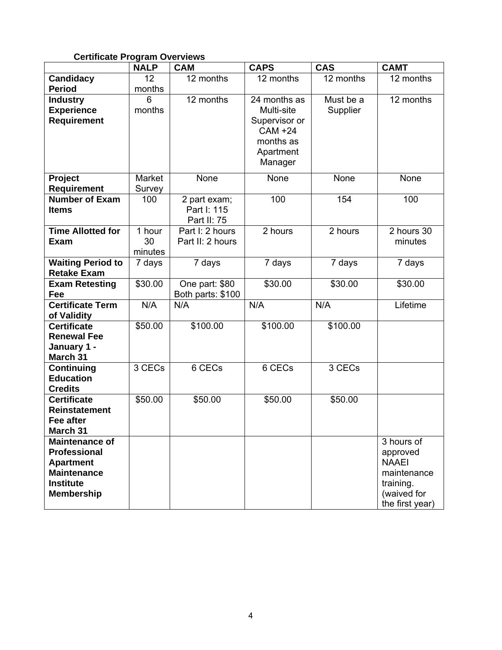#### **Certificate Program Overviews**

|                                      | <b>NALP</b> | <b>CAM</b>        | <b>CAPS</b>   | <b>CAS</b>             | <b>CAMT</b>     |
|--------------------------------------|-------------|-------------------|---------------|------------------------|-----------------|
| Candidacy                            | 12          | 12 months         | 12 months     | $\overline{12}$ months | 12 months       |
| <b>Period</b>                        | months      |                   |               |                        |                 |
| <b>Industry</b>                      | 6           | 12 months         | 24 months as  | Must be a              | 12 months       |
| <b>Experience</b>                    | months      |                   | Multi-site    | Supplier               |                 |
| <b>Requirement</b>                   |             |                   | Supervisor or |                        |                 |
|                                      |             |                   | CAM +24       |                        |                 |
|                                      |             |                   | months as     |                        |                 |
|                                      |             |                   | Apartment     |                        |                 |
|                                      |             |                   | Manager       |                        |                 |
| Project                              | Market      | None              | None          | None                   | None            |
| <b>Requirement</b>                   | Survey      |                   |               |                        |                 |
| <b>Number of Exam</b>                | 100         | 2 part exam;      | 100           | 154                    | 100             |
| <b>Items</b>                         |             | Part I: 115       |               |                        |                 |
|                                      |             | Part II: 75       |               |                        |                 |
| <b>Time Allotted for</b>             | 1 hour      | Part I: 2 hours   | 2 hours       | 2 hours                | 2 hours 30      |
| <b>Exam</b>                          | 30          | Part II: 2 hours  |               |                        | minutes         |
|                                      | minutes     |                   |               |                        |                 |
| <b>Waiting Period to</b>             | 7 days      | 7 days            | 7 days        | 7 days                 | 7 days          |
| <b>Retake Exam</b>                   |             |                   |               |                        |                 |
| <b>Exam Retesting</b>                | \$30.00     | One part: \$80    | \$30.00       | \$30.00                | \$30.00         |
| Fee                                  |             | Both parts: \$100 |               |                        |                 |
| <b>Certificate Term</b>              | N/A         | N/A               | N/A           | N/A                    | Lifetime        |
| of Validity                          |             |                   |               |                        |                 |
| <b>Certificate</b>                   | \$50.00     | \$100.00          | \$100.00      | \$100.00               |                 |
| <b>Renewal Fee</b>                   |             |                   |               |                        |                 |
| January 1 -                          |             |                   |               |                        |                 |
| March 31                             |             |                   |               |                        |                 |
| Continuing                           | 3 CECs      | 6 CECs            | 6 CECs        | 3 CECs                 |                 |
| <b>Education</b>                     |             |                   |               |                        |                 |
| <b>Credits</b><br><b>Certificate</b> | \$50.00     | \$50.00           | \$50.00       | \$50.00                |                 |
| <b>Reinstatement</b>                 |             |                   |               |                        |                 |
| Fee after                            |             |                   |               |                        |                 |
| <b>March 31</b>                      |             |                   |               |                        |                 |
| <b>Maintenance of</b>                |             |                   |               |                        | 3 hours of      |
| <b>Professional</b>                  |             |                   |               |                        | approved        |
| <b>Apartment</b>                     |             |                   |               |                        | <b>NAAEI</b>    |
| <b>Maintenance</b>                   |             |                   |               |                        | maintenance     |
| <b>Institute</b>                     |             |                   |               |                        | training.       |
| <b>Membership</b>                    |             |                   |               |                        | (waived for     |
|                                      |             |                   |               |                        | the first year) |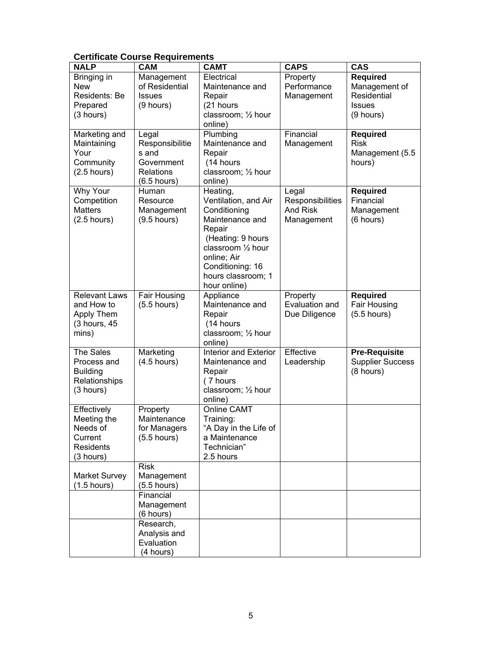#### **Certificate Course Requirements**

| <b>NALP</b>                                                                        | <b>CAM</b>                                                                           | <b>CAMT</b>                                                                                                                                                                                       | <b>CAPS</b>                                         | <b>CAS</b>                                                                      |
|------------------------------------------------------------------------------------|--------------------------------------------------------------------------------------|---------------------------------------------------------------------------------------------------------------------------------------------------------------------------------------------------|-----------------------------------------------------|---------------------------------------------------------------------------------|
| Bringing in<br><b>New</b><br>Residents: Be<br>Prepared<br>(3 hours)                | Management<br>of Residential<br><b>Issues</b><br>(9 hours)                           | Electrical<br>Maintenance and<br>Repair<br>(21 hours<br>classroom; 1/2 hour<br>online)                                                                                                            | Property<br>Performance<br>Management               | <b>Required</b><br>Management of<br>Residential<br><b>Issues</b><br>$(9$ hours) |
| Marketing and<br>Maintaining<br>Your<br>Community<br>$(2.5$ hours)                 | Legal<br>Responsibilitie<br>s and<br>Government<br><b>Relations</b><br>$(6.5$ hours) | Plumbing<br>Maintenance and<br>Repair<br>(14 hours<br>classroom; 1/2 hour<br>online)                                                                                                              | Financial<br>Management                             | <b>Required</b><br><b>Risk</b><br>Management (5.5<br>hours)                     |
| Why Your<br>Competition<br><b>Matters</b><br>$(2.5$ hours)                         | Human<br>Resource<br>Management<br>$(9.5$ hours)                                     | Heating,<br>Ventilation, and Air<br>Conditioning<br>Maintenance and<br>Repair<br>(Heating: 9 hours<br>classroom 1/2 hour<br>online; Air<br>Conditioning: 16<br>hours classroom; 1<br>hour online) | Legal<br>Responsibilities<br>And Risk<br>Management | <b>Required</b><br>Financial<br>Management<br>(6 hours)                         |
| <b>Relevant Laws</b><br>and How to<br>Apply Them<br>(3 hours, 45<br>mins)          | Fair Housing<br>$(5.5$ hours)                                                        | Appliance<br>Maintenance and<br>Repair<br>(14 hours<br>classroom; 1/2 hour<br>online)                                                                                                             | Property<br>Evaluation and<br>Due Diligence         | <b>Required</b><br>Fair Housing<br>$(5.5$ hours)                                |
| The Sales<br>Process and<br><b>Building</b><br>Relationships<br>(3 hours)          | Marketing<br>$(4.5$ hours)                                                           | <b>Interior and Exterior</b><br>Maintenance and<br>Repair<br>(7 hours<br>classroom; 1/2 hour<br>online)                                                                                           | Effective<br>Leadership                             | <b>Pre-Requisite</b><br><b>Supplier Success</b><br>(8 hours)                    |
| Effectively<br>Meeting the<br>Needs of<br>Current<br><b>Residents</b><br>(3 hours) | Property<br>Maintenance<br>for Managers<br>$(5.5$ hours)                             | Online CAMT<br>Training:<br>"A Day in the Life of<br>a Maintenance<br>Technician"<br>2.5 hours                                                                                                    |                                                     |                                                                                 |
| <b>Market Survey</b><br>$(1.5$ hours)                                              | <b>Risk</b><br>Management<br>$(5.5$ hours)<br>Financial                              |                                                                                                                                                                                                   |                                                     |                                                                                 |
|                                                                                    | Management<br>(6 hours)                                                              |                                                                                                                                                                                                   |                                                     |                                                                                 |
|                                                                                    | Research,<br>Analysis and<br>Evaluation<br>(4 hours)                                 |                                                                                                                                                                                                   |                                                     |                                                                                 |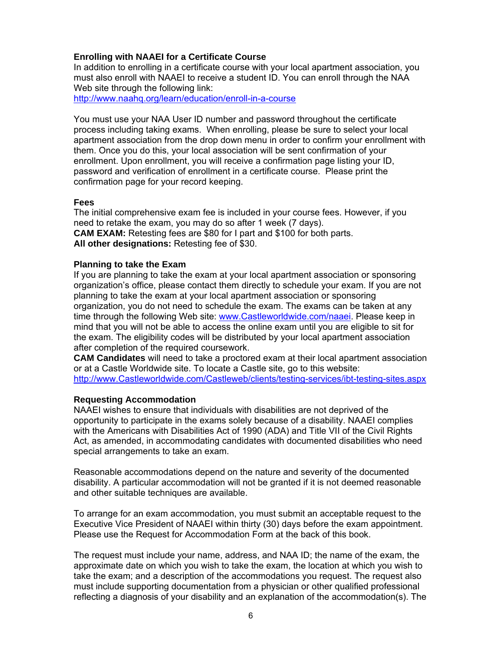#### **Enrolling with NAAEI for a Certificate Course**

In addition to enrolling in a certificate course with your local apartment association, you must also enroll with NAAEI to receive a student ID. You can enroll through the NAA Web site through the following link:

http://www.naahq.org/learn/education/enroll-in-a-course

You must use your NAA User ID number and password throughout the certificate process including taking exams. When enrolling, please be sure to select your local apartment association from the drop down menu in order to confirm your enrollment with them. Once you do this, your local association will be sent confirmation of your enrollment. Upon enrollment, you will receive a confirmation page listing your ID, password and verification of enrollment in a certificate course. Please print the confirmation page for your record keeping.

#### **Fees**

The initial comprehensive exam fee is included in your course fees. However, if you need to retake the exam, you may do so after 1 week (7 days). **CAM EXAM:** Retesting fees are \$80 for I part and \$100 for both parts. **All other designations:** Retesting fee of \$30.

#### **Planning to take the Exam**

If you are planning to take the exam at your local apartment association or sponsoring organization's office, please contact them directly to schedule your exam. If you are not planning to take the exam at your local apartment association or sponsoring organization, you do not need to schedule the exam. The exams can be taken at any time through the following Web site: www.Castleworldwide.com/naaei. Please keep in mind that you will not be able to access the online exam until you are eligible to sit for the exam. The eligibility codes will be distributed by your local apartment association after completion of the required coursework.

**CAM Candidates** will need to take a proctored exam at their local apartment association or at a Castle Worldwide site. To locate a Castle site, go to this website: http://www.Castleworldwide.com/Castleweb/clients/testing-services/ibt-testing-sites.aspx

#### **Requesting Accommodation**

NAAEI wishes to ensure that individuals with disabilities are not deprived of the opportunity to participate in the exams solely because of a disability. NAAEI complies with the Americans with Disabilities Act of 1990 (ADA) and Title VII of the Civil Rights Act, as amended, in accommodating candidates with documented disabilities who need special arrangements to take an exam.

Reasonable accommodations depend on the nature and severity of the documented disability. A particular accommodation will not be granted if it is not deemed reasonable and other suitable techniques are available.

To arrange for an exam accommodation, you must submit an acceptable request to the Executive Vice President of NAAEI within thirty (30) days before the exam appointment. Please use the Request for Accommodation Form at the back of this book.

The request must include your name, address, and NAA ID; the name of the exam, the approximate date on which you wish to take the exam, the location at which you wish to take the exam; and a description of the accommodations you request. The request also must include supporting documentation from a physician or other qualified professional reflecting a diagnosis of your disability and an explanation of the accommodation(s). The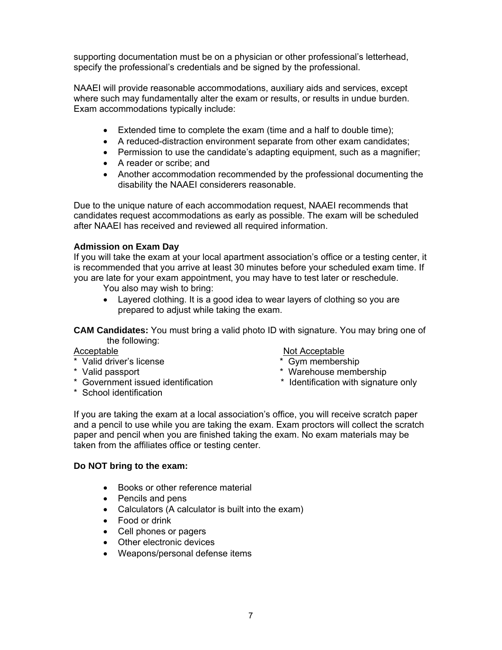supporting documentation must be on a physician or other professional's letterhead, specify the professional's credentials and be signed by the professional.

NAAEI will provide reasonable accommodations, auxiliary aids and services, except where such may fundamentally alter the exam or results, or results in undue burden. Exam accommodations typically include:

- Extended time to complete the exam (time and a half to double time);
- A reduced-distraction environment separate from other exam candidates;
- Permission to use the candidate's adapting equipment, such as a magnifier;
- A reader or scribe: and
- Another accommodation recommended by the professional documenting the disability the NAAEI considerers reasonable.

Due to the unique nature of each accommodation request, NAAEI recommends that candidates request accommodations as early as possible. The exam will be scheduled after NAAEI has received and reviewed all required information.

#### **Admission on Exam Day**

If you will take the exam at your local apartment association's office or a testing center, it is recommended that you arrive at least 30 minutes before your scheduled exam time. If you are late for your exam appointment, you may have to test later or reschedule.

You also may wish to bring:

• Layered clothing. It is a good idea to wear layers of clothing so you are prepared to adjust while taking the exam.

**CAM Candidates:** You must bring a valid photo ID with signature. You may bring one of the following:

- \* Valid driver's license \* \* Gym membership
- 
- \* Government issued identification \* Identification with signature only
- \* School identification

#### Acceptable Not Acceptable

- 
- \* Valid passport \* Warehouse membership
	-

If you are taking the exam at a local association's office, you will receive scratch paper and a pencil to use while you are taking the exam. Exam proctors will collect the scratch paper and pencil when you are finished taking the exam. No exam materials may be taken from the affiliates office or testing center.

#### **Do NOT bring to the exam:**

- Books or other reference material
- Pencils and pens
- Calculators (A calculator is built into the exam)
- Food or drink
- Cell phones or pagers
- Other electronic devices
- Weapons/personal defense items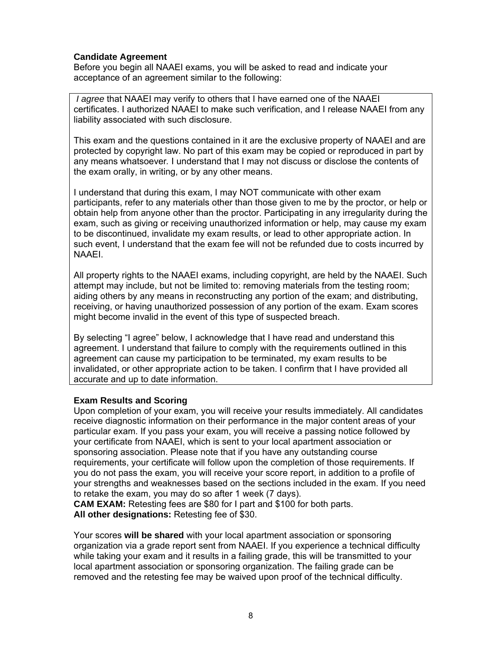#### **Candidate Agreement**

Before you begin all NAAEI exams, you will be asked to read and indicate your acceptance of an agreement similar to the following:

 *I agree* that NAAEI may verify to others that I have earned one of the NAAEI certificates. I authorized NAAEI to make such verification, and I release NAAEI from any liability associated with such disclosure.

This exam and the questions contained in it are the exclusive property of NAAEI and are protected by copyright law. No part of this exam may be copied or reproduced in part by any means whatsoever*.* I understand that I may not discuss or disclose the contents of the exam orally, in writing, or by any other means.

I understand that during this exam, I may NOT communicate with other exam participants, refer to any materials other than those given to me by the proctor, or help or obtain help from anyone other than the proctor. Participating in any irregularity during the exam, such as giving or receiving unauthorized information or help, may cause my exam to be discontinued, invalidate my exam results, or lead to other appropriate action. In such event, I understand that the exam fee will not be refunded due to costs incurred by NAAEI.

All property rights to the NAAEI exams, including copyright, are held by the NAAEI. Such attempt may include, but not be limited to: removing materials from the testing room; aiding others by any means in reconstructing any portion of the exam; and distributing, receiving, or having unauthorized possession of any portion of the exam. Exam scores might become invalid in the event of this type of suspected breach.

By selecting "I agree" below, I acknowledge that I have read and understand this agreement. I understand that failure to comply with the requirements outlined in this agreement can cause my participation to be terminated, my exam results to be invalidated, or other appropriate action to be taken. I confirm that I have provided all accurate and up to date information.

#### **Exam Results and Scoring**

Upon completion of your exam, you will receive your results immediately. All candidates receive diagnostic information on their performance in the major content areas of your particular exam. If you pass your exam, you will receive a passing notice followed by your certificate from NAAEI, which is sent to your local apartment association or sponsoring association. Please note that if you have any outstanding course requirements, your certificate will follow upon the completion of those requirements. If you do not pass the exam, you will receive your score report, in addition to a profile of your strengths and weaknesses based on the sections included in the exam. If you need to retake the exam, you may do so after 1 week (7 days).

**CAM EXAM:** Retesting fees are \$80 for I part and \$100 for both parts. **All other designations:** Retesting fee of \$30.

Your scores **will be shared** with your local apartment association or sponsoring organization via a grade report sent from NAAEI. If you experience a technical difficulty while taking your exam and it results in a failing grade, this will be transmitted to your local apartment association or sponsoring organization. The failing grade can be removed and the retesting fee may be waived upon proof of the technical difficulty.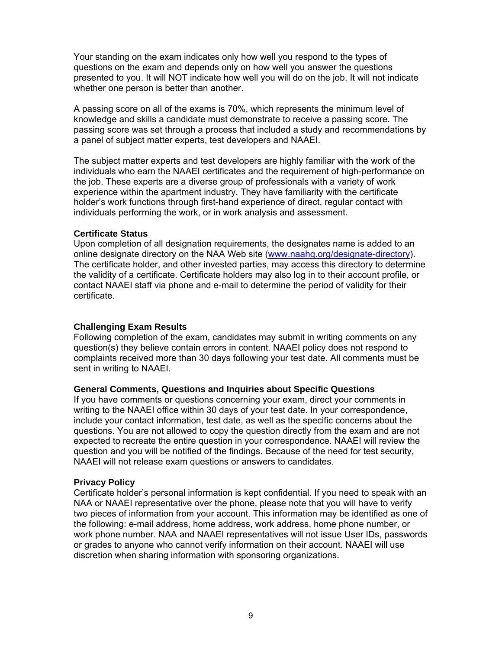Your standing on the exam indicates only how well you respond to the types of questions on the exam and depends only on how well you answer the questions presented to you. It will NOT indicate how well you will do on the job. It will not indicate whether one person is better than another.

A passing score on all of the exams is 70%, which represents the minimum level of knowledge and skills a candidate must demonstrate to receive a passing score. The passing score was set through a process that included a study and recommendations by a panel of subject matter experts, test developers and NAAEI.

The subject matter experts and test developers are highly familiar with the work of the individuals who earn the NAAEI certificates and the requirement of high-performance on the job. These experts are a diverse group of professionals with a variety of work experience within the apartment industry. They have familiarity with the certificate holder's work functions through first-hand experience of direct, regular contact with individuals performing the work, or in work analysis and assessment.

#### **Certificate Status**

Upon completion of all designation requirements, the designates name is added to an online designate directory on the NAA Web site (www.naahq.org/designate-directory). The certificate holder, and other invested parties, may access this directory to determine the validity of a certificate. Certificate holders may also log in to their account profile, or contact NAAEI staff via phone and e-mail to determine the period of validity for their certificate.

#### **Challenging Exam Results**

Following completion of the exam, candidates may submit in writing comments on any question(s) they believe contain errors in content. NAAEI policy does not respond to complaints received more than 30 days following your test date. All comments must be sent in writing to NAAEI.

#### **General Comments, Questions and Inquiries about Specific Questions**

If you have comments or questions concerning your exam, direct your comments in writing to the NAAEI office within 30 days of your test date. In your correspondence, include your contact information, test date, as well as the specific concerns about the questions. You are not allowed to copy the question directly from the exam and are not expected to recreate the entire question in your correspondence. NAAEI will review the question and you will be notified of the findings. Because of the need for test security, NAAEI will not release exam questions or answers to candidates.

#### **Privacy Policy**

Certificate holder's personal information is kept confidential. If you need to speak with an NAA or NAAEI representative over the phone, please note that you will have to verify two pieces of information from your account. This information may be identified as one of the following: e-mail address, home address, work address, home phone number, or work phone number. NAA and NAAEI representatives will not issue User IDs, passwords or grades to anyone who cannot verify information on their account. NAAEI will use discretion when sharing information with sponsoring organizations.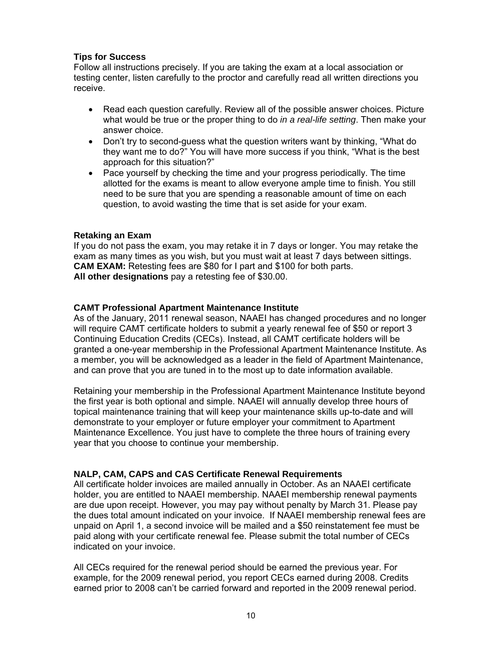#### **Tips for Success**

Follow all instructions precisely. If you are taking the exam at a local association or testing center, listen carefully to the proctor and carefully read all written directions you receive.

- Read each question carefully. Review all of the possible answer choices. Picture what would be true or the proper thing to do *in a real-life setting*. Then make your answer choice.
- Don't try to second-quess what the question writers want by thinking, "What do they want me to do?" You will have more success if you think, "What is the best approach for this situation?"
- Pace yourself by checking the time and your progress periodically. The time allotted for the exams is meant to allow everyone ample time to finish. You still need to be sure that you are spending a reasonable amount of time on each question, to avoid wasting the time that is set aside for your exam.

#### **Retaking an Exam**

If you do not pass the exam, you may retake it in 7 days or longer. You may retake the exam as many times as you wish, but you must wait at least 7 days between sittings. **CAM EXAM:** Retesting fees are \$80 for I part and \$100 for both parts. **All other designations** pay a retesting fee of \$30.00.

#### **CAMT Professional Apartment Maintenance Institute**

As of the January, 2011 renewal season, NAAEI has changed procedures and no longer will require CAMT certificate holders to submit a yearly renewal fee of \$50 or report 3 Continuing Education Credits (CECs). Instead, all CAMT certificate holders will be granted a one-year membership in the Professional Apartment Maintenance Institute. As a member, you will be acknowledged as a leader in the field of Apartment Maintenance, and can prove that you are tuned in to the most up to date information available.

Retaining your membership in the Professional Apartment Maintenance Institute beyond the first year is both optional and simple. NAAEI will annually develop three hours of topical maintenance training that will keep your maintenance skills up-to-date and will demonstrate to your employer or future employer your commitment to Apartment Maintenance Excellence. You just have to complete the three hours of training every year that you choose to continue your membership.

#### **NALP, CAM, CAPS and CAS Certificate Renewal Requirements**

All certificate holder invoices are mailed annually in October. As an NAAEI certificate holder, you are entitled to NAAEI membership. NAAEI membership renewal payments are due upon receipt. However, you may pay without penalty by March 31. Please pay the dues total amount indicated on your invoice. If NAAEI membership renewal fees are unpaid on April 1, a second invoice will be mailed and a \$50 reinstatement fee must be paid along with your certificate renewal fee. Please submit the total number of CECs indicated on your invoice.

All CECs required for the renewal period should be earned the previous year. For example, for the 2009 renewal period, you report CECs earned during 2008. Credits earned prior to 2008 can't be carried forward and reported in the 2009 renewal period.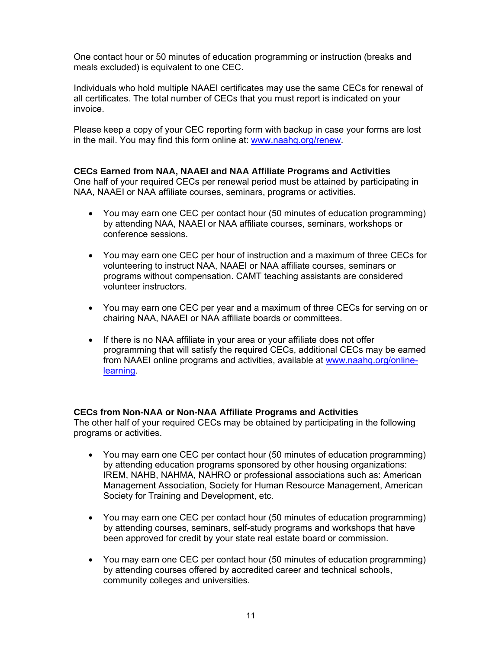One contact hour or 50 minutes of education programming or instruction (breaks and meals excluded) is equivalent to one CEC.

Individuals who hold multiple NAAEI certificates may use the same CECs for renewal of all certificates. The total number of CECs that you must report is indicated on your invoice.

Please keep a copy of your CEC reporting form with backup in case your forms are lost in the mail. You may find this form online at: www.naahq.org/renew.

#### **CECs Earned from NAA, NAAEI and NAA Affiliate Programs and Activities**

One half of your required CECs per renewal period must be attained by participating in NAA, NAAEI or NAA affiliate courses, seminars, programs or activities.

- You may earn one CEC per contact hour (50 minutes of education programming) by attending NAA, NAAEI or NAA affiliate courses, seminars, workshops or conference sessions.
- You may earn one CEC per hour of instruction and a maximum of three CECs for volunteering to instruct NAA, NAAEI or NAA affiliate courses, seminars or programs without compensation. CAMT teaching assistants are considered volunteer instructors.
- You may earn one CEC per year and a maximum of three CECs for serving on or chairing NAA, NAAEI or NAA affiliate boards or committees.
- If there is no NAA affiliate in your area or your affiliate does not offer programming that will satisfy the required CECs, additional CECs may be earned from NAAEI online programs and activities, available at www.naahq.org/onlinelearning.

#### **CECs from Non-NAA or Non-NAA Affiliate Programs and Activities**

The other half of your required CECs may be obtained by participating in the following programs or activities.

- You may earn one CEC per contact hour (50 minutes of education programming) by attending education programs sponsored by other housing organizations: IREM, NAHB, NAHMA, NAHRO or professional associations such as: American Management Association, Society for Human Resource Management, American Society for Training and Development, etc.
- You may earn one CEC per contact hour (50 minutes of education programming) by attending courses, seminars, self-study programs and workshops that have been approved for credit by your state real estate board or commission.
- You may earn one CEC per contact hour (50 minutes of education programming) by attending courses offered by accredited career and technical schools, community colleges and universities.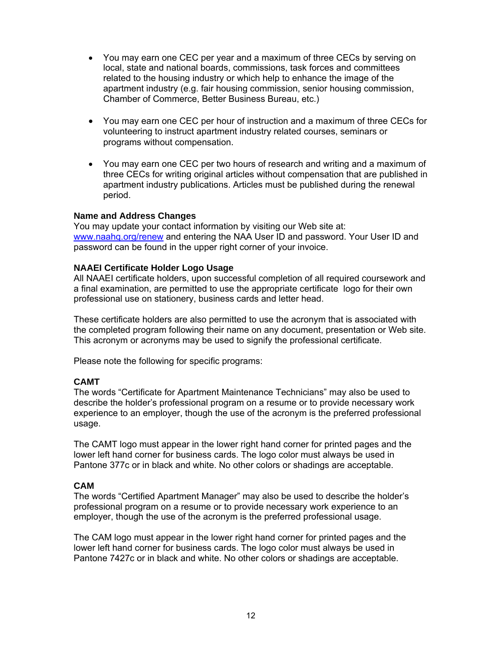- You may earn one CEC per year and a maximum of three CECs by serving on local, state and national boards, commissions, task forces and committees related to the housing industry or which help to enhance the image of the apartment industry (e.g. fair housing commission, senior housing commission, Chamber of Commerce, Better Business Bureau, etc.)
- You may earn one CEC per hour of instruction and a maximum of three CECs for volunteering to instruct apartment industry related courses, seminars or programs without compensation.
- You may earn one CEC per two hours of research and writing and a maximum of three CECs for writing original articles without compensation that are published in apartment industry publications. Articles must be published during the renewal period.

#### **Name and Address Changes**

You may update your contact information by visiting our Web site at: www.naahq.org/renew and entering the NAA User ID and password. Your User ID and password can be found in the upper right corner of your invoice.

#### **NAAEI Certificate Holder Logo Usage**

All NAAEI certificate holders, upon successful completion of all required coursework and a final examination, are permitted to use the appropriate certificate logo for their own professional use on stationery, business cards and letter head.

These certificate holders are also permitted to use the acronym that is associated with the completed program following their name on any document, presentation or Web site. This acronym or acronyms may be used to signify the professional certificate.

Please note the following for specific programs:

#### **CAMT**

The words "Certificate for Apartment Maintenance Technicians" may also be used to describe the holder's professional program on a resume or to provide necessary work experience to an employer, though the use of the acronym is the preferred professional usage.

The CAMT logo must appear in the lower right hand corner for printed pages and the lower left hand corner for business cards. The logo color must always be used in Pantone 377c or in black and white. No other colors or shadings are acceptable.

#### **CAM**

The words "Certified Apartment Manager" may also be used to describe the holder's professional program on a resume or to provide necessary work experience to an employer, though the use of the acronym is the preferred professional usage.

The CAM logo must appear in the lower right hand corner for printed pages and the lower left hand corner for business cards. The logo color must always be used in Pantone 7427c or in black and white. No other colors or shadings are acceptable.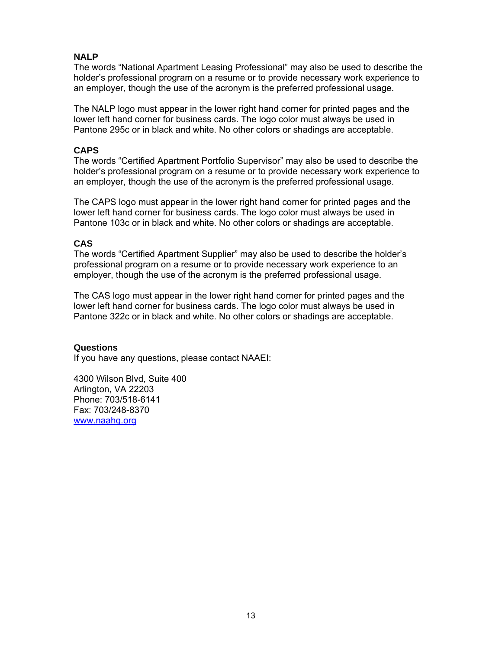#### **NALP**

The words "National Apartment Leasing Professional" may also be used to describe the holder's professional program on a resume or to provide necessary work experience to an employer, though the use of the acronym is the preferred professional usage.

The NALP logo must appear in the lower right hand corner for printed pages and the lower left hand corner for business cards. The logo color must always be used in Pantone 295c or in black and white. No other colors or shadings are acceptable.

#### **CAPS**

The words "Certified Apartment Portfolio Supervisor" may also be used to describe the holder's professional program on a resume or to provide necessary work experience to an employer, though the use of the acronym is the preferred professional usage.

The CAPS logo must appear in the lower right hand corner for printed pages and the lower left hand corner for business cards. The logo color must always be used in Pantone 103c or in black and white. No other colors or shadings are acceptable.

#### **CAS**

The words "Certified Apartment Supplier" may also be used to describe the holder's professional program on a resume or to provide necessary work experience to an employer, though the use of the acronym is the preferred professional usage.

The CAS logo must appear in the lower right hand corner for printed pages and the lower left hand corner for business cards. The logo color must always be used in Pantone 322c or in black and white. No other colors or shadings are acceptable.

#### **Questions**

If you have any questions, please contact NAAEI:

4300 Wilson Blvd, Suite 400 Arlington, VA 22203 Phone: 703/518-6141 Fax: 703/248-8370 www.naahq.org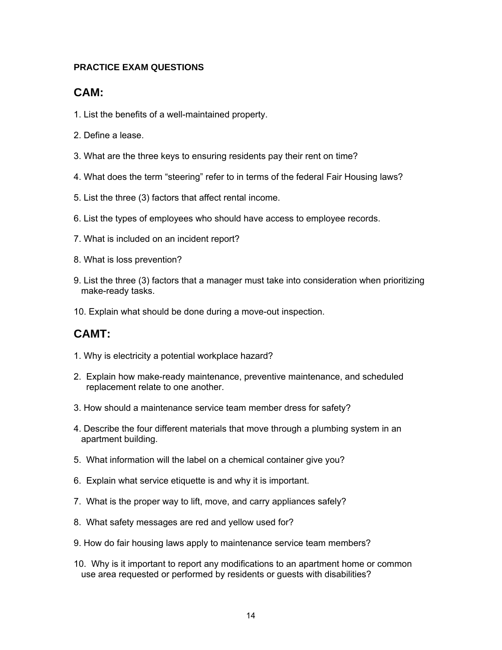#### **PRACTICE EXAM QUESTIONS**

## **CAM:**

- 1. List the benefits of a well-maintained property.
- 2. Define a lease.
- 3. What are the three keys to ensuring residents pay their rent on time?
- 4. What does the term "steering" refer to in terms of the federal Fair Housing laws?
- 5. List the three (3) factors that affect rental income.
- 6. List the types of employees who should have access to employee records.
- 7. What is included on an incident report?
- 8. What is loss prevention?
- 9. List the three (3) factors that a manager must take into consideration when prioritizing make-ready tasks.
- 10. Explain what should be done during a move-out inspection.

## **CAMT:**

- 1. Why is electricity a potential workplace hazard?
- 2. Explain how make-ready maintenance, preventive maintenance, and scheduled replacement relate to one another.
- 3. How should a maintenance service team member dress for safety?
- 4. Describe the four different materials that move through a plumbing system in an apartment building.
- 5. What information will the label on a chemical container give you?
- 6. Explain what service etiquette is and why it is important.
- 7. What is the proper way to lift, move, and carry appliances safely?
- 8. What safety messages are red and yellow used for?
- 9. How do fair housing laws apply to maintenance service team members?
- 10. Why is it important to report any modifications to an apartment home or common use area requested or performed by residents or guests with disabilities?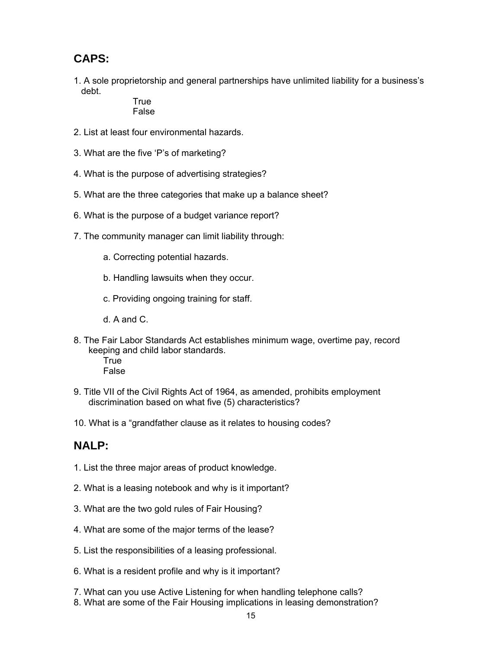## **CAPS:**

1. A sole proprietorship and general partnerships have unlimited liability for a business's debt.

True False

- 2. List at least four environmental hazards.
- 3. What are the five 'P's of marketing?
- 4. What is the purpose of advertising strategies?
- 5. What are the three categories that make up a balance sheet?
- 6. What is the purpose of a budget variance report?
- 7. The community manager can limit liability through:
	- a. Correcting potential hazards.
	- b. Handling lawsuits when they occur.
	- c. Providing ongoing training for staff.
	- d. A and C.
- 8. The Fair Labor Standards Act establishes minimum wage, overtime pay, record keeping and child labor standards.
	- **True** False
- 9. Title VII of the Civil Rights Act of 1964, as amended, prohibits employment discrimination based on what five (5) characteristics?
- 10. What is a "grandfather clause as it relates to housing codes?

## **NALP:**

- 1. List the three major areas of product knowledge.
- 2. What is a leasing notebook and why is it important?
- 3. What are the two gold rules of Fair Housing?
- 4. What are some of the major terms of the lease?
- 5. List the responsibilities of a leasing professional.
- 6. What is a resident profile and why is it important?
- 7. What can you use Active Listening for when handling telephone calls?
- 8. What are some of the Fair Housing implications in leasing demonstration?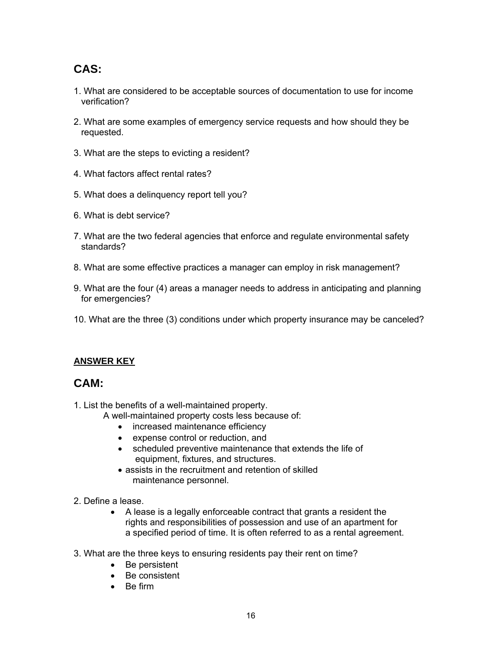## **CAS:**

- 1. What are considered to be acceptable sources of documentation to use for income verification?
- 2. What are some examples of emergency service requests and how should they be requested.
- 3. What are the steps to evicting a resident?
- 4. What factors affect rental rates?
- 5. What does a delinquency report tell you?
- 6. What is debt service?
- 7. What are the two federal agencies that enforce and regulate environmental safety standards?
- 8. What are some effective practices a manager can employ in risk management?
- 9. What are the four (4) areas a manager needs to address in anticipating and planning for emergencies?
- 10. What are the three (3) conditions under which property insurance may be canceled?

#### **ANSWER KEY**

### **CAM:**

- 1. List the benefits of a well-maintained property.
	- A well-maintained property costs less because of:
		- increased maintenance efficiency
		- expense control or reduction, and
		- scheduled preventive maintenance that extends the life of equipment, fixtures, and structures.
		- assists in the recruitment and retention of skilled maintenance personnel.
- 2. Define a lease.
	- A lease is a legally enforceable contract that grants a resident the rights and responsibilities of possession and use of an apartment for a specified period of time. It is often referred to as a rental agreement.
- 3. What are the three keys to ensuring residents pay their rent on time?
	- Be persistent
	- Be consistent
	- Be firm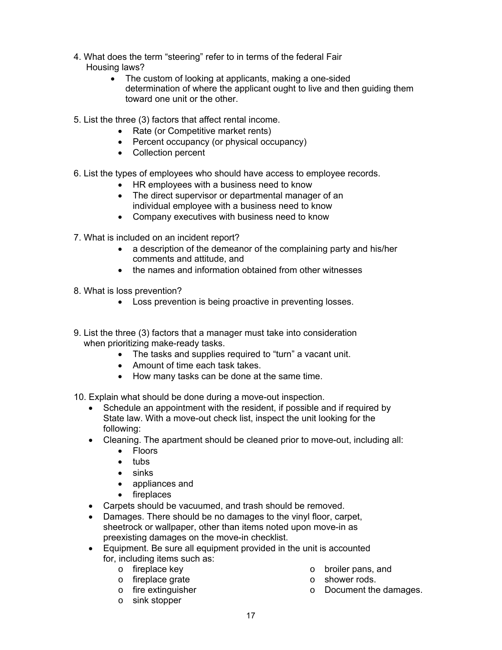- 4. What does the term "steering" refer to in terms of the federal Fair Housing laws?
	- The custom of looking at applicants, making a one-sided determination of where the applicant ought to live and then guiding them toward one unit or the other.
- 5. List the three (3) factors that affect rental income.
	- Rate (or Competitive market rents)
	- Percent occupancy (or physical occupancy)
	- Collection percent
- 6. List the types of employees who should have access to employee records.
	- HR employees with a business need to know
	- The direct supervisor or departmental manager of an individual employee with a business need to know
	- Company executives with business need to know

7. What is included on an incident report?

- a description of the demeanor of the complaining party and his/her comments and attitude, and
- the names and information obtained from other witnesses
- 8. What is loss prevention?
	- Loss prevention is being proactive in preventing losses.
- 9. List the three (3) factors that a manager must take into consideration when prioritizing make-ready tasks.
	- The tasks and supplies required to "turn" a vacant unit.
	- Amount of time each task takes.
	- How many tasks can be done at the same time.
- 10. Explain what should be done during a move-out inspection.
	- Schedule an appointment with the resident, if possible and if required by State law. With a move-out check list, inspect the unit looking for the following:
	- Cleaning. The apartment should be cleaned prior to move-out, including all:
		- Floors
		- $\bullet$  tubs
		- sinks
		- appliances and
		- fireplaces
	- Carpets should be vacuumed, and trash should be removed.
	- Damages. There should be no damages to the vinyl floor, carpet, sheetrock or wallpaper, other than items noted upon move-in as preexisting damages on the move-in checklist.
	- Equipment. Be sure all equipment provided in the unit is accounted for, including items such as:
		- o fireplace key
		- o fireplace grate
		- o fire extinguisher
		- o sink stopper
- o broiler pans, and
- o shower rods.
- o Document the damages.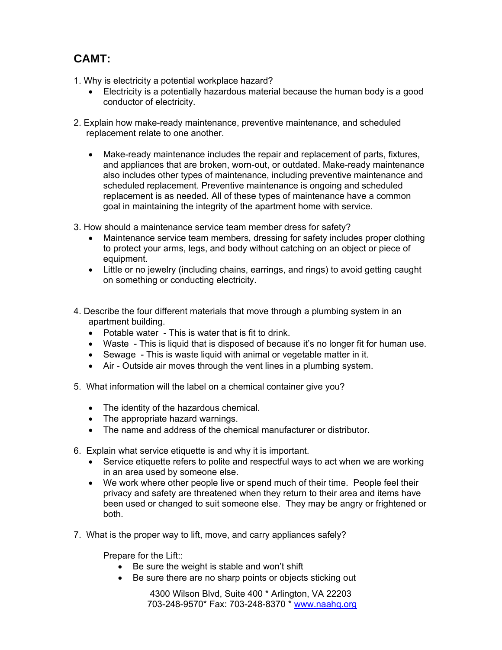## **CAMT:**

1. Why is electricity a potential workplace hazard?

- Electricity is a potentially hazardous material because the human body is a good conductor of electricity.
- 2. Explain how make-ready maintenance, preventive maintenance, and scheduled replacement relate to one another.
	- Make-ready maintenance includes the repair and replacement of parts, fixtures, and appliances that are broken, worn-out, or outdated. Make-ready maintenance also includes other types of maintenance, including preventive maintenance and scheduled replacement. Preventive maintenance is ongoing and scheduled replacement is as needed. All of these types of maintenance have a common goal in maintaining the integrity of the apartment home with service.
- 3. How should a maintenance service team member dress for safety?
	- Maintenance service team members, dressing for safety includes proper clothing to protect your arms, legs, and body without catching on an object or piece of equipment.
	- Little or no jewelry (including chains, earrings, and rings) to avoid getting caught on something or conducting electricity.
- 4. Describe the four different materials that move through a plumbing system in an apartment building.
	- Potable water This is water that is fit to drink.
	- Waste This is liquid that is disposed of because it's no longer fit for human use.
	- Sewage This is waste liquid with animal or vegetable matter in it.
	- Air Outside air moves through the vent lines in a plumbing system.
- 5. What information will the label on a chemical container give you?
	- The identity of the hazardous chemical.
	- The appropriate hazard warnings.
	- The name and address of the chemical manufacturer or distributor.
- 6. Explain what service etiquette is and why it is important.
	- Service etiquette refers to polite and respectful ways to act when we are working in an area used by someone else.
	- We work where other people live or spend much of their time. People feel their privacy and safety are threatened when they return to their area and items have been used or changed to suit someone else. They may be angry or frightened or both.
- 7. What is the proper way to lift, move, and carry appliances safely?

Prepare for the Lift::

- Be sure the weight is stable and won't shift
- Be sure there are no sharp points or objects sticking out

4300 Wilson Blvd, Suite 400 \* Arlington, VA 22203 703-248-9570\* Fax: 703-248-8370 \* www.naahq.org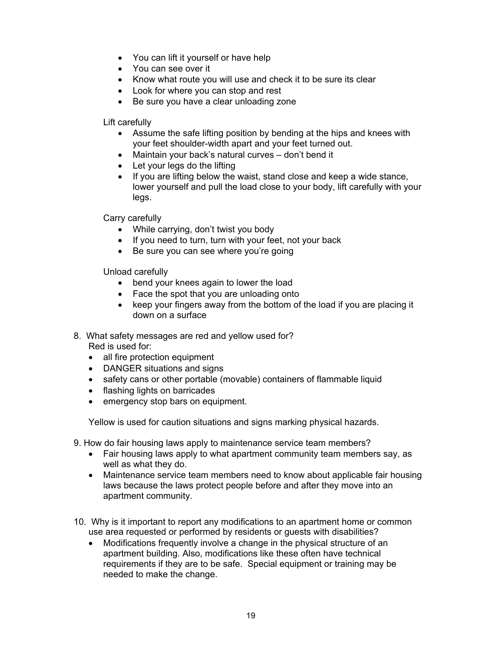- You can lift it yourself or have help
- You can see over it
- Know what route you will use and check it to be sure its clear
- Look for where you can stop and rest
- Be sure you have a clear unloading zone

Lift carefully

- Assume the safe lifting position by bending at the hips and knees with your feet shoulder-width apart and your feet turned out.
- Maintain your back's natural curves don't bend it
- Let your legs do the lifting
- If you are lifting below the waist, stand close and keep a wide stance, lower yourself and pull the load close to your body, lift carefully with your legs.

Carry carefully

- While carrying, don't twist you body
- If you need to turn, turn with your feet, not your back
- Be sure you can see where you're going

Unload carefully

- bend your knees again to lower the load
- Face the spot that you are unloading onto
- keep your fingers away from the bottom of the load if you are placing it down on a surface
- 8. What safety messages are red and yellow used for? Red is used for:
	- all fire protection equipment
	- DANGER situations and signs
	- safety cans or other portable (movable) containers of flammable liquid
	- flashing lights on barricades
	- emergency stop bars on equipment.

Yellow is used for caution situations and signs marking physical hazards.

- 9. How do fair housing laws apply to maintenance service team members?
	- Fair housing laws apply to what apartment community team members say, as well as what they do.
	- Maintenance service team members need to know about applicable fair housing laws because the laws protect people before and after they move into an apartment community.
- 10. Why is it important to report any modifications to an apartment home or common use area requested or performed by residents or guests with disabilities?
	- Modifications frequently involve a change in the physical structure of an apartment building. Also, modifications like these often have technical requirements if they are to be safe. Special equipment or training may be needed to make the change.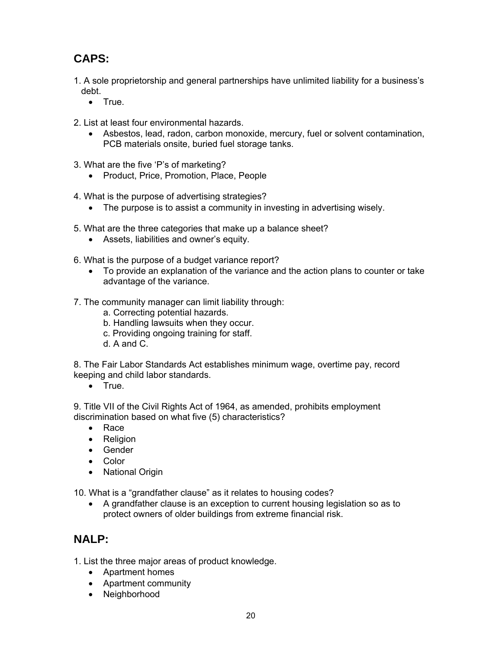## **CAPS:**

- 1. A sole proprietorship and general partnerships have unlimited liability for a business's debt.
	- True.
- 2. List at least four environmental hazards.
	- Asbestos, lead, radon, carbon monoxide, mercury, fuel or solvent contamination, PCB materials onsite, buried fuel storage tanks.
- 3. What are the five 'P's of marketing?
	- Product, Price, Promotion, Place, People
- 4. What is the purpose of advertising strategies?
	- The purpose is to assist a community in investing in advertising wisely.
- 5. What are the three categories that make up a balance sheet?
	- Assets, liabilities and owner's equity.
- 6. What is the purpose of a budget variance report?
	- To provide an explanation of the variance and the action plans to counter or take advantage of the variance.
- 7. The community manager can limit liability through:
	- a. Correcting potential hazards.
	- b. Handling lawsuits when they occur.
	- c. Providing ongoing training for staff.
	- d. A and C.

8. The Fair Labor Standards Act establishes minimum wage, overtime pay, record keeping and child labor standards.

• True.

9. Title VII of the Civil Rights Act of 1964, as amended, prohibits employment discrimination based on what five (5) characteristics?

- Race
- Religion
- Gender
- Color
- National Origin

10. What is a "grandfather clause" as it relates to housing codes?

 A grandfather clause is an exception to current housing legislation so as to protect owners of older buildings from extreme financial risk.

## **NALP:**

1. List the three major areas of product knowledge.

- Apartment homes
- Apartment community
- Neighborhood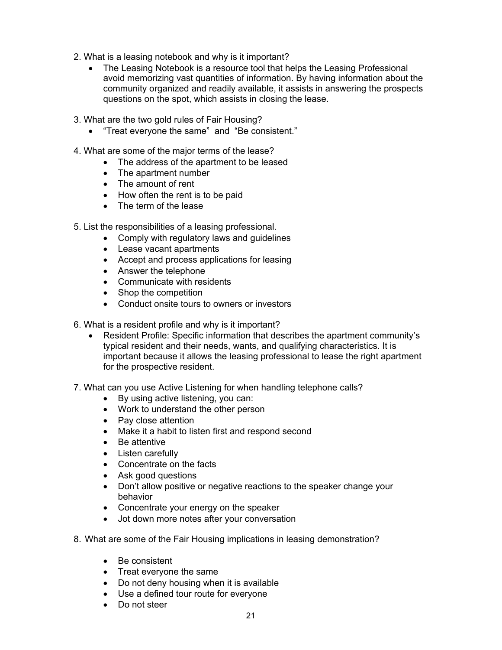- 2. What is a leasing notebook and why is it important?
	- The Leasing Notebook is a resource tool that helps the Leasing Professional avoid memorizing vast quantities of information. By having information about the community organized and readily available, it assists in answering the prospects questions on the spot, which assists in closing the lease.
- 3. What are the two gold rules of Fair Housing?
	- "Treat everyone the same" and "Be consistent."
- 4. What are some of the major terms of the lease?
	- The address of the apartment to be leased
	- The apartment number
	- The amount of rent
	- How often the rent is to be paid
	- The term of the lease
- 5. List the responsibilities of a leasing professional.
	- Comply with regulatory laws and quidelines
	- Lease vacant apartments
	- Accept and process applications for leasing
	- Answer the telephone
	- Communicate with residents
	- Shop the competition
	- Conduct onsite tours to owners or investors
- 6. What is a resident profile and why is it important?
	- Resident Profile: Specific information that describes the apartment community's typical resident and their needs, wants, and qualifying characteristics. It is important because it allows the leasing professional to lease the right apartment for the prospective resident.
- 7. What can you use Active Listening for when handling telephone calls?
	- By using active listening, you can:
	- Work to understand the other person
	- Pay close attention
	- Make it a habit to listen first and respond second
	- Be attentive
	- Listen carefully
	- Concentrate on the facts
	- Ask good questions
	- Don't allow positive or negative reactions to the speaker change your behavior
	- Concentrate your energy on the speaker
	- Jot down more notes after your conversation
- 8. What are some of the Fair Housing implications in leasing demonstration?
	- Be consistent
	- Treat everyone the same
	- Do not deny housing when it is available
	- Use a defined tour route for everyone
	- Do not steer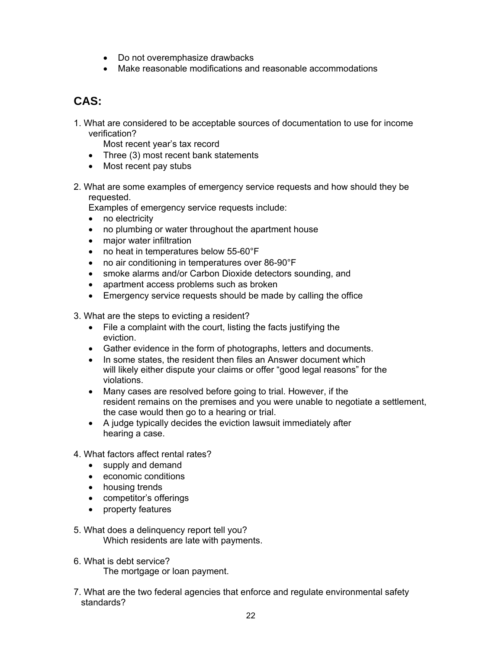- Do not overemphasize drawbacks
- Make reasonable modifications and reasonable accommodations

## **CAS:**

1. What are considered to be acceptable sources of documentation to use for income verification?

Most recent year's tax record

- Three (3) most recent bank statements
- Most recent pay stubs
- 2. What are some examples of emergency service requests and how should they be requested.

Examples of emergency service requests include:

- no electricity
- no plumbing or water throughout the apartment house
- major water infiltration
- no heat in temperatures below 55-60°F
- no air conditioning in temperatures over 86-90°F
- smoke alarms and/or Carbon Dioxide detectors sounding, and
- apartment access problems such as broken
- Emergency service requests should be made by calling the office

3. What are the steps to evicting a resident?

- File a complaint with the court, listing the facts justifying the eviction.
- Gather evidence in the form of photographs, letters and documents.
- In some states, the resident then files an Answer document which will likely either dispute your claims or offer "good legal reasons" for the violations.
- Many cases are resolved before going to trial. However, if the resident remains on the premises and you were unable to negotiate a settlement, the case would then go to a hearing or trial.
- A judge typically decides the eviction lawsuit immediately after hearing a case.
- 4. What factors affect rental rates?
	- supply and demand
	- economic conditions
	- housing trends
	- competitor's offerings
	- property features
- 5. What does a delinquency report tell you? Which residents are late with payments.
- 6. What is debt service? The mortgage or loan payment.
- 7. What are the two federal agencies that enforce and regulate environmental safety standards?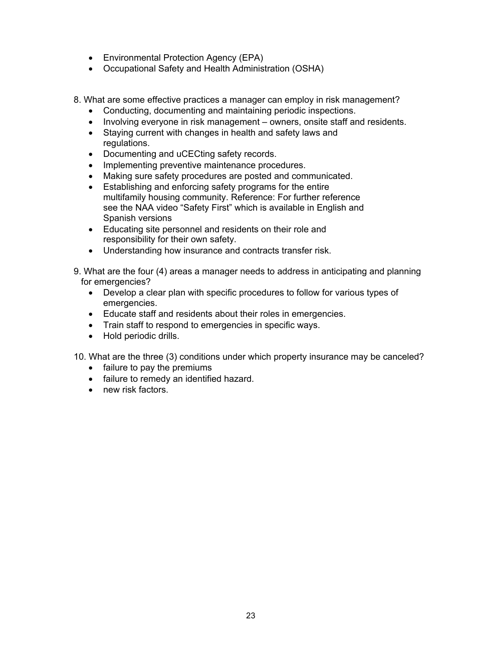- Environmental Protection Agency (EPA)
- Occupational Safety and Health Administration (OSHA)
- 8. What are some effective practices a manager can employ in risk management?
	- Conducting, documenting and maintaining periodic inspections.
	- Involving everyone in risk management owners, onsite staff and residents.
	- Staying current with changes in health and safety laws and regulations.
	- Documenting and uCECting safety records.
	- Implementing preventive maintenance procedures.
	- Making sure safety procedures are posted and communicated.
	- Establishing and enforcing safety programs for the entire multifamily housing community. Reference: For further reference see the NAA video "Safety First" which is available in English and Spanish versions
	- Educating site personnel and residents on their role and responsibility for their own safety.
	- Understanding how insurance and contracts transfer risk.
- 9. What are the four (4) areas a manager needs to address in anticipating and planning for emergencies?
	- Develop a clear plan with specific procedures to follow for various types of emergencies.
	- Educate staff and residents about their roles in emergencies.
	- Train staff to respond to emergencies in specific ways.
	- Hold periodic drills.
- 10. What are the three (3) conditions under which property insurance may be canceled?
	- failure to pay the premiums
	- failure to remedy an identified hazard.
	- new risk factors.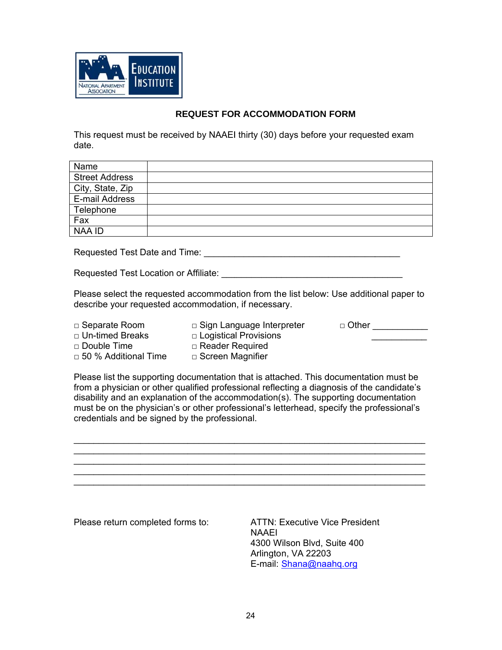

#### **RE EQUEST FO R ACCOMM MODATION FORM**

This request must be received by NAAEI thirty (30) days before your requested exam date.

| Name                  |  |
|-----------------------|--|
| <b>Street Address</b> |  |
| City, State, Zip      |  |
| E-mail Address        |  |
| Telephone             |  |
| Fax                   |  |
| <b>NAA ID</b>         |  |

Requ uested Test Date and Tim me: \_\_\_\_\_\_\_ \_\_\_\_\_\_\_\_\_\_ \_\_\_\_\_\_\_\_\_\_ \_\_\_\_\_\_\_\_\_\_\_ \_\_\_\_\_\_

Requ uested Test Location or A Affiliate: \_\_\_ \_\_\_\_\_\_\_\_\_\_ \_\_\_\_\_\_\_\_\_\_\_ \_\_\_\_\_\_\_\_\_\_ \_\_\_\_\_\_

Please select the requested accommodation from the list below: Use additional paper to describe your requested accommodation, if necessary. ccommodation from the list below: Use additional paper to<br>mmodation, if necessary.<br>□ Sign Language Interpreter □ Other \_\_\_\_\_\_\_\_\_\_\_\_

□ Separate Room □ Un-timed Breaks □ Do  $\square$  50 uble Time % Additiona al Time □ Logistical Provisions □ Reader R □ Screen M Required Magnifier  $\sim$   $\sim$  $\mathcal{L}$  . The set of the set of the set of the set of the set of the set of the set of the set of the set of the set of the set of the set of the set of the set of the set of the set of the set of the set of the set of t

Please list the supporting documentation that is attached. This documentation must be from a physician or other qualified professional reflecting a diagnosis of the candidate's disability and an explanation of the accommodation(s). The supporting documentation must be on the physician's or other professional's letterhead, specify the professional's credentials and be signed by the professional. \_\_\_\_\_\_\_

 $\mathcal{L}_\text{max}$  $\mathcal{L}_\text{max}$  $\mathcal{L}_\text{max}$  $\overline{\phantom{a}}$  $\mathcal{L}_\text{max}$ 

 $\mathcal{L}_\text{max}$  $\mathcal{L}_\text{max}$  $\mathcal{L}_\text{max}$  $\frac{1}{2}$  $\mathcal{L}_\text{max}$ 

Please return completed forms to:

 $\mathcal{L}=\mathcal{L}$  $\mathcal{L}=\mathcal{L}$  $\mathcal{L}=\mathcal{L}$  $\mathcal{L}$  . The set of the set of the set of the set of the set of the set of the set of the set of the set of the set of the set of the set of the set of the set of the set of the set of the set of the set of the set of t  $\mathcal{L}=\mathcal{L}$ 

 $\overline{\phantom{a}}$  $\overline{\phantom{a}}$  $\overline{\phantom{a}}$  $\overline{\phantom{a}}$  $\overline{\phantom{a}}$ 

 $\mathcal{L}_\text{max}$  $\mathcal{L}_\text{max}$  $\mathcal{L}_\text{max}$  $\mathcal{L}_\text{max}$  $\mathcal{L}_\text{max}$ 

> ATTN: Executive Vice President NAAEI 4300 W Wilson Blvd, S Suite 400 Arlingto n, VA 22203 3 E-mail: **Shana@naahq.org**

 $\mathcal{L}$  $\mathcal{L}$  $\mathcal{L}$  $\frac{1}{2}$  $\mathcal{L}$ 

 $\mathcal{L}_\text{max}$  $\mathcal{L}_\text{max}$  $\mathcal{L}_\text{max}$  $\frac{1}{2}$  $\mathcal{L}_\text{max}$ 

 $\mathcal{L}_\text{max}$  $\mathcal{L}_\text{max}$  $\mathcal{L}_\text{max}$  $\mathcal{L}_\text{max}$  $\mathcal{L}_\text{max}$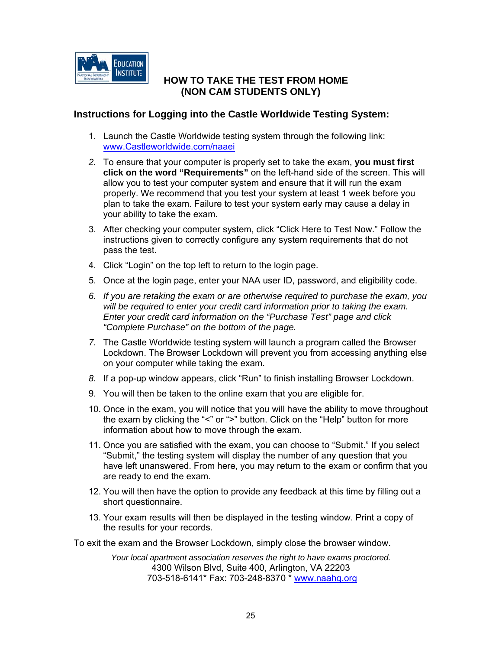

#### **NOW TO TAKE THE TEST FROM HOME (N NON CAM STUDENTS S ONLY)**

#### Instructions for Logging into the Castle Worldwide Testing System:

- 1. Launch the Castle Worldwide testing system through the following link: www.Castleworldwide.com/naaei
- 2. To ensure that your computer is properly set to take the exam, you must first click on the word "Requirements" on the left-hand side of the screen. This will allow you to test your computer system and ensure that it will run the exam properly. We recommend that you test your system at least 1 week before you plan to take the exam. Failure to test your system early may cause a delay in your ability to take the exam.
- 3. After checking your computer system, click "Click Here to Test Now." Follow the instructions given to correctly configure any system requirements that do not pass the test.
- 4. Click "Login" on the top left to return to the login page.
- 5. Once at the login page, enter your NAA user ID, password, and eligibility code.
- 6. If you are retaking the exam or are otherwise required to purchase the exam, you will be required to enter your credit card information prior to taking the exam. *Enter your credit card information on the "Purchase Test" page and click* "Complete Purchase" on the bottom of the page.
- 7. The Castle Worldwide testing system will launch a program called the Browser Lockdown. The Browser Lockdown will prevent you from accessing anything else on your c omputer wh ile taking the e exam.
- 8. If a pop-up window appears, click "Run" to finish installing Browser Lockdown.
- 9. You will then be taken to the online exam that you are eligible for.
- 10. Once in the exam, you will notice that you will have the ability to move throughout the exam by clicking the "<" or ">" button. Click on the "Help" button for more information about how to move through the exam.
- 11. Once you are satisfied with the exam, you can choose to "Submit." If you select "Submit," the testing system will display the number of any question that you have left unanswered. From here, you may return to the exam or confirm that you are ready to end the exam.
- 12. You will then have the option to provide any feedback at this time by filling out a short que stionnaire.
- 13. Your exam results will then be displayed in the testing window. Print a copy of the results for your records.

To exit the exam and the Browser Lockdown, simply close the browser window.

*Your local apartment association reserves the right to have exams proctored.* 4300 Wilson Blvd, Suite 400, Arlington, VA 22203 703-518-6141\* Fax: 703-248-8370 \* www.naahq.org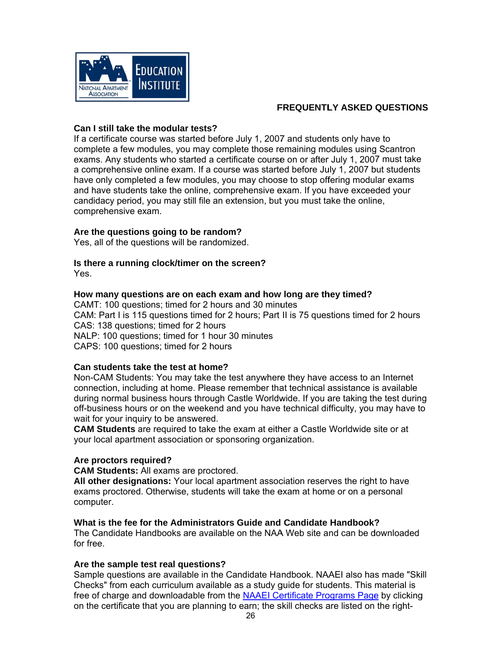

#### **F FREQUENTL LY ASKED QUESTION S**

#### **Can I still take th he modular r tests?**

If a certificate course was started before July 1, 2007 and students only have to complete a few modules, you may complete those remaining modules using Scantron exams. Any students who started a certificate course on or after July 1, 2007 must take a comprehensive online exam. If a course was started before July 1, 2007 but students have only completed a few modules, you may choose to stop offering modular exams and have students take the online, comprehensive exam. If you have exceeded your candidacy period, you may still file an extension, but you must take the online, comprehensive exam.

#### Are the questions going to be random?

Yes, all of the questions will be randomized.

## **ls there a running clock/timer on the screen?**

Yes.

#### How many questions are on each exam and how long are they timed?

CAMT: 100 questions; timed for 2 hours and 30 minutes CAM: Part I is 115 questions timed for 2 hours; Part II is 75 questions timed for 2 hours CAS: 138 questions; timed for 2 hours NALP: 100 questions; timed for 1 hour 30 minutes CAPS S: 100 ques tions; timed for 2 hours

#### **Can students take the test at home?**

Non-CAM Students: You may take the test anywhere they have access to an Internet connection, including at home. Please remember that technical assistance is available during normal business hours through Castle Worldwide. If you are taking the test during off-business hours or on the weekend and you have technical difficulty, you may have to wait for your inquiry to be answered. o<br>lill

**CAM Students** are required to take the exam at either a Castle Worldwide site or at your local apartment association or sponsoring organization.

#### Are proctors required?

**CAM Students: All exams are proctored.** 

All other designations: Your local apartment association reserves the right to have exams proctored. Otherwise, students will take the exam at home or on a personal comp puter.

#### What is the fee for the Administrators Guide and Candidate Handbook?

The Candidate Handbooks are available on the NAA Web site and can be downloaded for fre ee.

#### Are the sample test real questions?

Sample questions are available in the Candidate Handbook. NAAEI also has made "Ski Checks" from each curriculum available as a study guide for students. This material is free of charge and downloadable from the **NAAEI Certificate Programs Page** by clicking on the certificate that you are planning to earn; the skill checks are listed on the right-